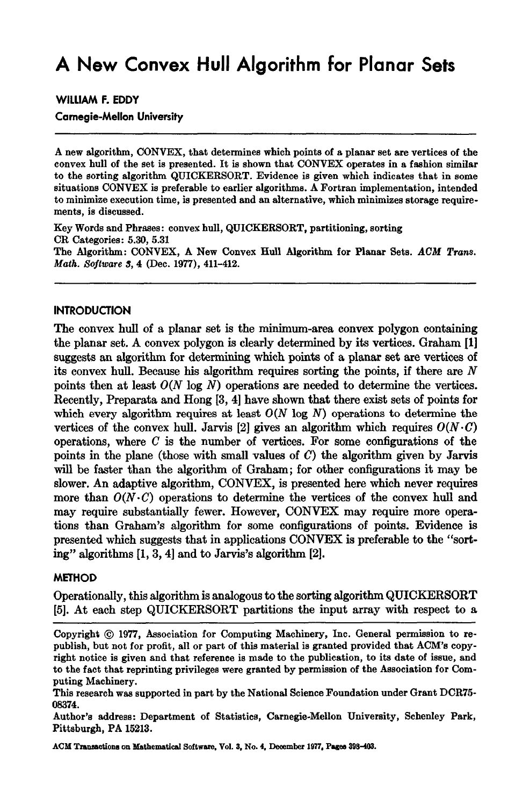# **A New Convex Hull Algorithm for Planar Sets**

**WILLIAM F. EDDY** 

**Carnegie-Mellon University** 

A new algorithm, CONVEX, that determines which points of a planar set are vertices of the convex hull of the set is presented. It is shown that CONVEX operates in a fashion similar to the sorting algorithm QUICKERSORT. Evidence is given which indicates that in some situations CONVEX is preferable to earlier algorithms. A Fortran implementation, intended to minimize execution time, is presented and an alternative, which minimizes storage requirements, is discussed.

Key Words and Phrases: convex hull, QUICKERSORT, partitioning, sorting CR Categories: 5.30, 5.31 The Algorithm: CONVEX, A New Convex Hull Algorithm for Planar Sets. *AOM Trans. Math. Software 3, 4 (Dec. 1977), 411-412.* 

### **INTRODUCTION**

The convex hull of a planar set is the minimum-area convex polygon containing the planar set. A convex polygon is clearly determined by its vertices. Graham [1] suggests an algorithm for determining which points of a planar set are vertices of its convex hull. Because his algorithm requires sorting the points, if there are  $N$ points then at least  $O(N \log N)$  operations are needed to determine the vertices. Recently, Preparata and Hong [3, 4] have shown that there exist sets of points for which every algorithm requires at least  $O(N \log N)$  operations to determine the vertices of the convex hull. Jarvis [2] gives an algorithm which requires  $O(N \cdot C)$ operations, where  $C$  is the number of vertices. For some configurations of the points in the plane (those with small values of  $C$ ) the algorithm given by Jarvis will be faster than the algorithm of Graham; for other configurations it may be slower. An adaptive algorithm, CONVEX, is presented here which never requires more than  $O(N \cdot C)$  operations to determine the vertices of the convex hull and may require substantially fewer. However, CONVEX may require more operations than Graham's algorithm for some configurations of points. Evidence is presented which suggests that in applications CONVEX is preferable to the *"sort*ing" algorithms [1, 3, 4] and to Jarvis's algorithm [2].

### **METHOD**

Operationally, this algorithm is analogous to the sorting algorithm QUICKERSORT [5]. At each step QUICKERSORT partitions the input array with respect to a

**ACM Ttauaactions** on Mathematical Software. Vol. 3. No. 4. Deoember 1977. Pageo 398-403.

Copyright  $@$  1977, Association for Computing Machinery, Inc. General permission to republish, but not for profit, all or part of this material is granted provided that ACM's copyright notice is given and that reference is made to the publication, to its date of issue, and to the fact that reprinting privileges were granted by permission of the Association for Computing Machinery.

This research was supported in part by the National Science Foundation under Grant DCR75- 08374.

Author's address: Department of Statistics, Carnegie-Mellon University, Schenley Park, Pittsburgh, PA 15213.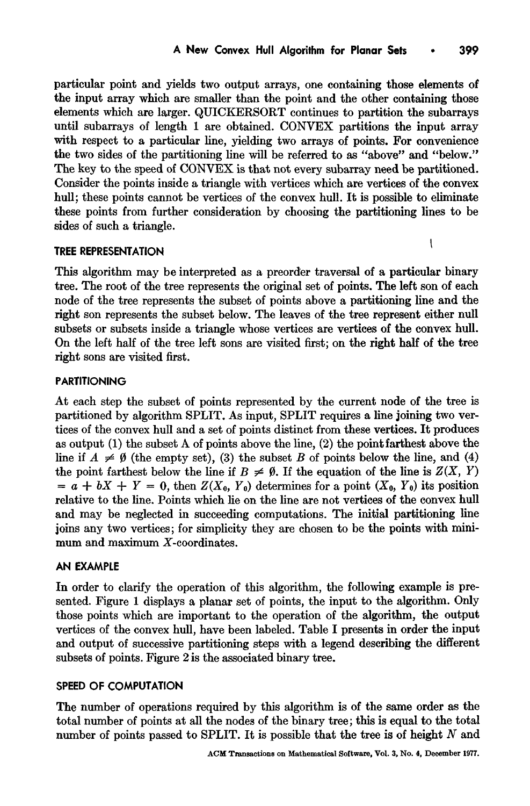particular point and yields two output arrays, one containing those elements of the input array which are smaller than the point and the other containing those elements which are larger. QUICKERSORT continues to partition the subarrays until subarrays of length 1 are obtained. CONVEX partitions the input array with respect to a particular line, yielding two arrays of points. For convenience the two sides of the partitioning line will be referred to as "above" and "below." The key to the speed of CONVEX is that not every subarray need be partitioned. Consider the points inside a triangle with vertices which are vertices of the convex hull; these points cannot be vertices of the convex hull. It is possible to eliminate these points from further consideration by choosing the partitioning lines to be sides of such a triangle.

### TREE REPRESENTATION  $\frac{1}{\sqrt{2}}$  the represents the tree represents the original set of points. The left son of each son of each son of each son of each son of  $\frac{1}{\sqrt{2}}$

This algorithm may be interpreted as a preorder traversal of a particular binary tree. The root of the tree represents the original set of points. The left son of each node of the tree represents the subset of points above a partitioning line and the right son represents the subset below. The leaves of the tree represent either null subsets or subsets inside a triangle whose vertices are vertices of the convex hull. On the left half of the tree left sons are visited first; on the right half of the tree right sons are visited first.

## $\mathbf{A}$  existent of points represented by the current node of the tree is the tree is the tree is the tree is the tree is the tree is the tree is the tree is the tree is the tree is the tree is the tree is the tree is th

 $p_{\text{max}}$ At each step the subset of points represented by the current node of the tree is partitioned by algorithm SPLIT. As input, SPLIT requires a line joining two vertices of the convex hull and a set of points distinct from these vertices. It produces as output  $(1)$  the subset A of points above the line,  $(2)$  the point farthest above the line if  $A \neq \emptyset$  (the empty set), (3) the subset B of points below the line, and (4) the point farthest below the line if  $B \neq \emptyset$ . If the equation of the line is  $Z(X, Y)$  $a = a + bX + Y = 0$ , then  $Z(X_0, Y_0)$  determines for a point  $(X_0, Y_0)$  its position relative to the line. Points which lie on the line are not vertices of the convex hull and may be neglected in succeeding computations. The initial partitioning line joins any two vertices; for simplicity they are chosen to be the points with minimum and maximum X-coordinates.

### $I$  order to clarify the operation of this algorithm, the following example is pre-

sented. Figure 1 displays a planar set of points, the input to the algorithm. Only the algorithm. Only the algorithm. In order to clarify the operation of this algorithm, the following example is presented. Figure 1 displays a planar set of points, the input to the algorithm. Only those points which are important to the operation of the algorithm, the output vertices of the convex hull, have been labeled. Table I presents in order the input and output of successive partitioning steps with a legend describing the different subsets of points. Figure 2 is the associated binary tree.

#### SPEED OF COMPUTATION  $\frac{1}{\sqrt{2}}$  number of the state of the binary tree; the total tree; the total tree; this is equal to the total tree; the total tree; the total tree; the total tree; the total tree; the total tree; the total tree; the tot

The number of operations required by this algorithm is of the same order as the total number of points at all the nodes of the binary tree; this is equal to the total number of points passed to SPLIT. It is possible that the tree is of height  $N$  and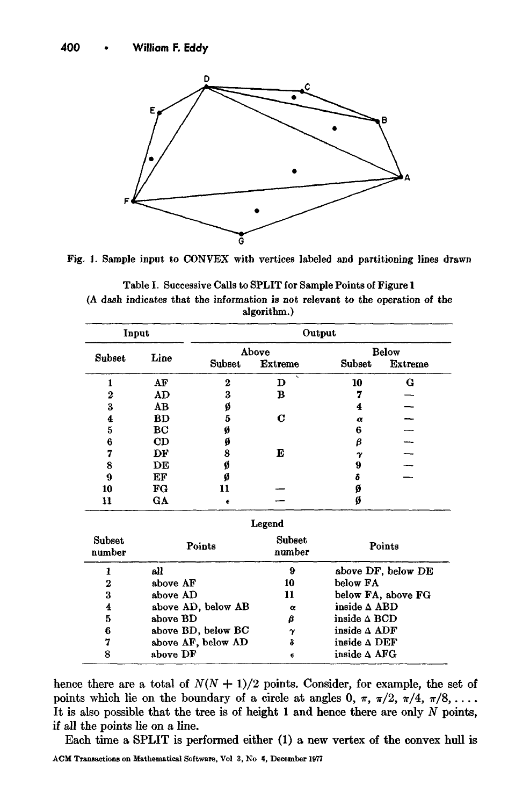

Fig. 1. Sample input to CONVEX with vertices labeled and partitioning lines drawn

Table I. Successive Calls to SPLIT for Sample Points of Figure 1 (A dash indicates that the information is not relevant to the operation of the algorithm.)

| Input            |          | Output             |                  |                        |                    |  |  |  |  |
|------------------|----------|--------------------|------------------|------------------------|--------------------|--|--|--|--|
| Subset           | Line     | Above              |                  | <b>Below</b>           |                    |  |  |  |  |
|                  |          | Subset             | <b>Extreme</b>   | Subset                 | <b>Extreme</b>     |  |  |  |  |
| 1                | AF       | $\bf{2}$           | D                | 10                     | G                  |  |  |  |  |
| $\boldsymbol{2}$ | AD       | 3                  | в                | 7                      |                    |  |  |  |  |
| 3                | AB       | ø                  |                  | 4                      |                    |  |  |  |  |
| 4                | BD       | 5                  | C                | $\alpha$               |                    |  |  |  |  |
| 5                | BС       | ø                  |                  | 6                      |                    |  |  |  |  |
| 6                | CD       | ø                  |                  | β                      |                    |  |  |  |  |
| 7                | DF       | 8                  | E                | $\gamma$               |                    |  |  |  |  |
| 8                | DЕ       | Ø                  |                  | 9                      |                    |  |  |  |  |
| 9                | EF       | Ø                  |                  | δ                      |                    |  |  |  |  |
| 10               | FG       | 11                 |                  | Ø                      |                    |  |  |  |  |
| 11               | GA       | €                  |                  | Ø                      |                    |  |  |  |  |
| Legend           |          |                    |                  |                        |                    |  |  |  |  |
| Subset<br>number |          | Points             | Subset<br>number | Points                 |                    |  |  |  |  |
| 1                | all      |                    | 9                |                        | above DF, below DE |  |  |  |  |
| 2                | above AF |                    | 10               | below FA               |                    |  |  |  |  |
| 3                | above AD |                    | 11               | below FA, above FG     |                    |  |  |  |  |
| 4                |          | above AD, below AB | $\alpha$         | inside $\triangle$ ABD |                    |  |  |  |  |
| 5                | above BD |                    | β                | inside $\triangle$ BCD |                    |  |  |  |  |
| 6                |          | above BD, below BC | $\gamma$         | inside $\triangle$ ADF |                    |  |  |  |  |
| 7                |          | above AF, below AD | ò                | inside $\Delta$ DEF    |                    |  |  |  |  |
| 8                | above DF |                    | €                | inside $\Delta$ AFG    |                    |  |  |  |  |

hence there are a total of  $N(N + 1)/2$  points. Consider, for example, the set of points which lie on the boundary of a circle at angles  $0, \pi, \pi/2, \pi/4, \pi/8, \ldots$ . It is also possible that the tree is of height  $1$  and hence there are only  $N$  points, if all the points lie on a line.

Each time a SPLIT is performed either (1) a new vertex of the convex hull is ACM Transactions on Mathematical Software, Vol 3, No <sup>4</sup>, December 1977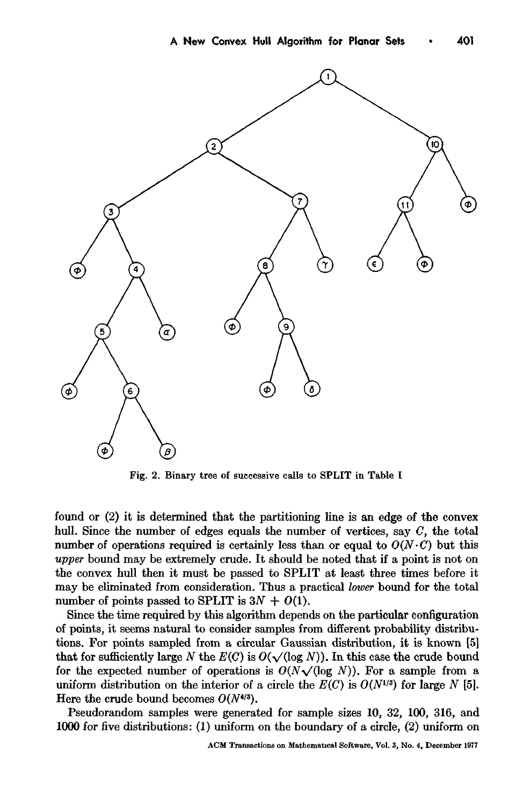

Fig. 2. Binary tree of successive calls to SPLIT in Table I

found or  $(2)$  it is determined that the partitioning line is an edge of the convex hull. Since the number of edges equals the number of vertices, say C, the total *u* number of operations required is certainly less than or equal to  $O(N \cdot C)$  but this upper bound may be extremely crude. It should be noted that if a point is not on the convex hull then it must be passed to SPLIT at least three times before it may be eliminated from consideration. Thus a practical lower bound for the total number of points passed to SPLIT is  $3N + O(1)$ .

Since the time required by this algorithm depends on the particular configuration of points, it seems natural to consider samples from different probability distributions. For points sampled from a circular Gaussian distribution, it is known [5] that for sufficiently large N the  $E(C)$  is  $O(\sqrt{\log N})$ . In this case the crude bound for the expected number of operations is  $O(N \sqrt{(\log N)})$ . For a sample from a uniform distribution on the interior of a circle the  $E(C)$  is  $O(N^{1/3})$  for large N [5]. Here the crude bound becomes  $O(N^{4/3})$ .

Pseudorandom samples were generated for sample sizes 10, 32, 100, 316, and 1000 for five distributions: (1) uniform on the boundary of a circle, (2) uniform on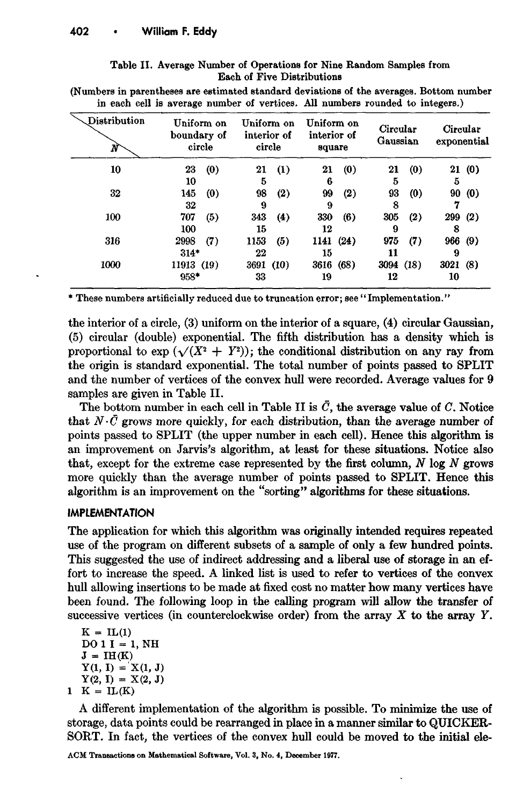| Table II. Average Number of Operations for Nine Random Samples from |  |  |  |  |  |  |  |
|---------------------------------------------------------------------|--|--|--|--|--|--|--|
| <b>Each of Five Distributions</b>                                   |  |  |  |  |  |  |  |

**(Numbers in parentheses are estimated standard deviations of the averages. Bottom number in each cell is average number of vertices. All numbers rounded to integers.)** 

| Distribution<br>N | Uniform on<br>boundary of<br>circle |     | Uniform on<br>interior of<br>circle |     | Uniform on<br>interior of<br>square |     | Circular<br>Gaussian |     | Circular<br>exponential |       |
|-------------------|-------------------------------------|-----|-------------------------------------|-----|-------------------------------------|-----|----------------------|-----|-------------------------|-------|
| 10                | 23                                  | (0) | 21                                  | (1) | 21                                  | (0) | 21                   | (0) |                         | 21(0) |
|                   | 10                                  |     | 5                                   |     | 6                                   |     | 5                    |     | 5                       |       |
| 32                | 145                                 | (0) | 98                                  | (2) | 99                                  | (2) | 93                   | (0) | 90                      | (0)   |
|                   | 32                                  |     | 9                                   |     | 9                                   |     | 8                    |     | 7                       |       |
| 100               | 707                                 | (5) | 343                                 | (4) | 330                                 | (6) | 305                  | (2) | 299(2)                  |       |
|                   | 100                                 |     | 15                                  |     | 12                                  |     | 9                    |     | 8                       |       |
| 316               | 2998                                | (7) | 1153                                | (5) | 1141(24)                            |     | 975                  | (7) | 966(9)                  |       |
|                   | $314*$                              |     | 22                                  |     | 15                                  |     | 11                   |     | 9                       |       |
| 1000              | 11913 (19)                          |     | 3691 (10)                           |     | 3616 (68)                           |     | 3094 (18)            |     | 3021(8)                 |       |
|                   | 958*                                |     | 33                                  |     | 19                                  |     | 12                   |     | 10                      |       |

\* These numbers artificially reduced due to truncation error; see "Implementation."

the interior of a circle, (3) uniform on the interior of a square, (4) circular Gaussian, (5) circular (double) exponential. The fifth distribution has a density which is proportional to  $\exp (\sqrt{(X^2 + Y^2)})$ ; the conditional distribution on any ray from the origin is standard exponential. The total number of points passed to SPLIT and the number of vertices of the convex hull were recorded. Average values for 9 samples are given in Table II.

The bottom number in each cell in Table II is  $\bar{C}$ , the average value of C. Notice that  $N \cdot \bar{C}$  grows more quickly, for each distribution, than the average number of points passed to SPLIT (the upper number in each cell). Hence this algorithm is an improvement on Jarvis's algorithm, at least for these situations. Notice also that, except for the extreme case represented by the first column,  $N \log N$  grows more quickly than the average number of points passed to SPLIT. Hence this algorithm is an improvement on the "sorting" algorithms for these **situations.** 

### **IMPLEMENTATION**

The application for which this algorithm was originally intended requires repeated use of the program on different subsets of a sample of only a few hundred points. This suggested the use of indirect addressing and a liberal use of storage in an effort to increase the speed. A linked list is used to refer to vertices of the convex hull allowing insertions to be made at fixed cost no matter how many vertices have been found. The following loop in the calling program will allow the transfer of successive vertices (in counterclockwise order) from the array  $X$  to the array  $Y$ .

 $K = IL(1)$  $D0 1 I = 1, NH$  $J = IH(K)$  $Y(1, 1) = X(1, 1)$  $Y(2, 1) = X(2, J)$  $1$  K =  $IL(K)$ 

A different implementation of the algorithm is possible. To minimize the use of storage, data points could be rearranged in place in a manner similar to QUICKER-SORT. In fact, the vertices of the convex hull could be moved to the initial ele-

ACM **Transactions on Mathematical Software,** Vol. 3, No. 4, December 1977.